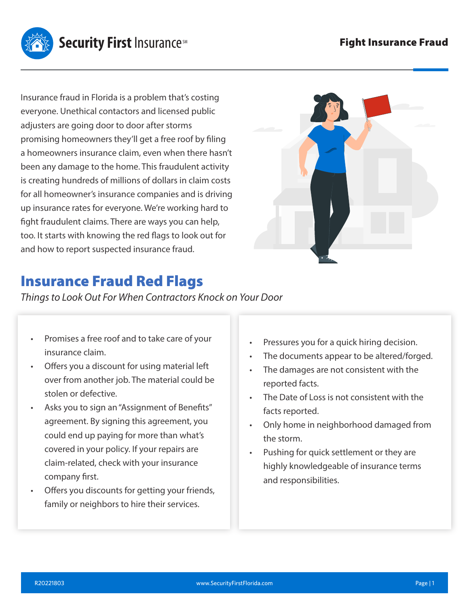

Insurance fraud in Florida is a problem that's costing everyone. Unethical contactors and licensed public adjusters are going door to door after storms promising homeowners they'll get a free roof by filing a homeowners insurance claim, even when there hasn't been any damage to the home. This fraudulent activity is creating hundreds of millions of dollars in claim costs for all homeowner's insurance companies and is driving up insurance rates for everyone. We're working hard to fight fraudulent claims. There are ways you can help, too. It starts with knowing the red flags to look out for and how to report suspected insurance fraud.



## Insurance Fraud Red Flags

*Things to Look Out For When Contractors Knock on Your Door*

- Promises a free roof and to take care of your insurance claim.
- Offers you a discount for using material left over from another job. The material could be stolen or defective.
- Asks you to sign an "Assignment of Benefits" agreement. By signing this agreement, you could end up paying for more than what's covered in your policy. If your repairs are claim-related, check with your insurance company first.
- Offers you discounts for getting your friends, family or neighbors to hire their services.
- Pressures you for a quick hiring decision.
- The documents appear to be altered/forged.
- The damages are not consistent with the reported facts.
- The Date of Loss is not consistent with the facts reported.
- Only home in neighborhood damaged from the storm.
- Pushing for quick settlement or they are highly knowledgeable of insurance terms and responsibilities.